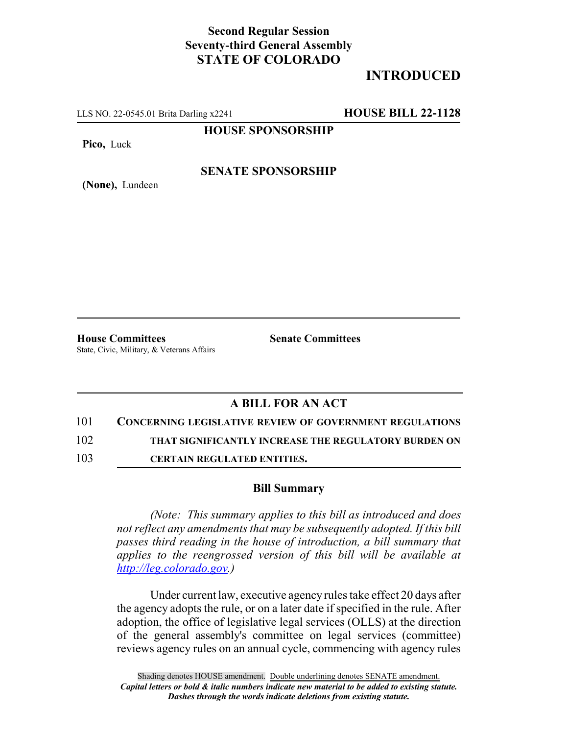## **Second Regular Session Seventy-third General Assembly STATE OF COLORADO**

# **INTRODUCED**

LLS NO. 22-0545.01 Brita Darling x2241 **HOUSE BILL 22-1128**

**HOUSE SPONSORSHIP**

**Pico,** Luck

**(None),** Lundeen

### **SENATE SPONSORSHIP**

**House Committees Senate Committees** State, Civic, Military, & Veterans Affairs

### **A BILL FOR AN ACT**

101 **CONCERNING LEGISLATIVE REVIEW OF GOVERNMENT REGULATIONS**

102 **THAT SIGNIFICANTLY INCREASE THE REGULATORY BURDEN ON**

103 **CERTAIN REGULATED ENTITIES.**

#### **Bill Summary**

*(Note: This summary applies to this bill as introduced and does not reflect any amendments that may be subsequently adopted. If this bill passes third reading in the house of introduction, a bill summary that applies to the reengrossed version of this bill will be available at http://leg.colorado.gov.)*

Under current law, executive agency rules take effect 20 days after the agency adopts the rule, or on a later date if specified in the rule. After adoption, the office of legislative legal services (OLLS) at the direction of the general assembly's committee on legal services (committee) reviews agency rules on an annual cycle, commencing with agency rules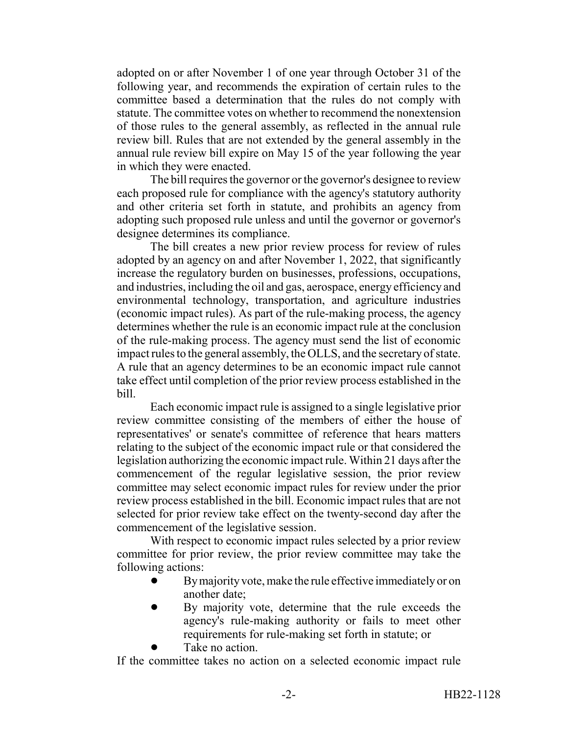adopted on or after November 1 of one year through October 31 of the following year, and recommends the expiration of certain rules to the committee based a determination that the rules do not comply with statute. The committee votes on whether to recommend the nonextension of those rules to the general assembly, as reflected in the annual rule review bill. Rules that are not extended by the general assembly in the annual rule review bill expire on May 15 of the year following the year in which they were enacted.

The bill requires the governor or the governor's designee to review each proposed rule for compliance with the agency's statutory authority and other criteria set forth in statute, and prohibits an agency from adopting such proposed rule unless and until the governor or governor's designee determines its compliance.

The bill creates a new prior review process for review of rules adopted by an agency on and after November 1, 2022, that significantly increase the regulatory burden on businesses, professions, occupations, and industries, including the oil and gas, aerospace, energy efficiency and environmental technology, transportation, and agriculture industries (economic impact rules). As part of the rule-making process, the agency determines whether the rule is an economic impact rule at the conclusion of the rule-making process. The agency must send the list of economic impact rules to the general assembly, the OLLS, and the secretary of state. A rule that an agency determines to be an economic impact rule cannot take effect until completion of the prior review process established in the bill.

Each economic impact rule is assigned to a single legislative prior review committee consisting of the members of either the house of representatives' or senate's committee of reference that hears matters relating to the subject of the economic impact rule or that considered the legislation authorizing the economic impact rule. Within 21 days after the commencement of the regular legislative session, the prior review committee may select economic impact rules for review under the prior review process established in the bill. Economic impact rules that are not selected for prior review take effect on the twenty-second day after the commencement of the legislative session.

With respect to economic impact rules selected by a prior review committee for prior review, the prior review committee may take the following actions:

- By majority vote, make the rule effective immediately or on another date;
- ! By majority vote, determine that the rule exceeds the agency's rule-making authority or fails to meet other requirements for rule-making set forth in statute; or
- Take no action.

If the committee takes no action on a selected economic impact rule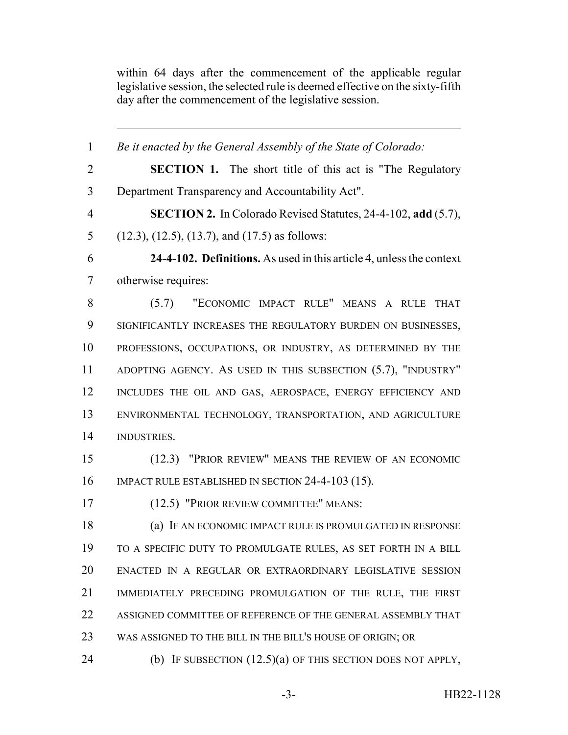within 64 days after the commencement of the applicable regular legislative session, the selected rule is deemed effective on the sixty-fifth day after the commencement of the legislative session.

 *Be it enacted by the General Assembly of the State of Colorado:* **SECTION 1.** The short title of this act is "The Regulatory Department Transparency and Accountability Act". **SECTION 2.** In Colorado Revised Statutes, 24-4-102, **add** (5.7), (12.3), (12.5), (13.7), and (17.5) as follows: **24-4-102. Definitions.** As used in this article 4, unless the context otherwise requires: (5.7) "ECONOMIC IMPACT RULE" MEANS A RULE THAT SIGNIFICANTLY INCREASES THE REGULATORY BURDEN ON BUSINESSES, PROFESSIONS, OCCUPATIONS, OR INDUSTRY, AS DETERMINED BY THE ADOPTING AGENCY. AS USED IN THIS SUBSECTION (5.7), "INDUSTRY" 12 INCLUDES THE OIL AND GAS, AEROSPACE, ENERGY EFFICIENCY AND ENVIRONMENTAL TECHNOLOGY, TRANSPORTATION, AND AGRICULTURE INDUSTRIES. (12.3) "PRIOR REVIEW" MEANS THE REVIEW OF AN ECONOMIC 16 IMPACT RULE ESTABLISHED IN SECTION 24-4-103 (15). (12.5) "PRIOR REVIEW COMMITTEE" MEANS: (a) IF AN ECONOMIC IMPACT RULE IS PROMULGATED IN RESPONSE TO A SPECIFIC DUTY TO PROMULGATE RULES, AS SET FORTH IN A BILL ENACTED IN A REGULAR OR EXTRAORDINARY LEGISLATIVE SESSION IMMEDIATELY PRECEDING PROMULGATION OF THE RULE, THE FIRST ASSIGNED COMMITTEE OF REFERENCE OF THE GENERAL ASSEMBLY THAT WAS ASSIGNED TO THE BILL IN THE BILL'S HOUSE OF ORIGIN; OR (b) IF SUBSECTION (12.5)(a) OF THIS SECTION DOES NOT APPLY,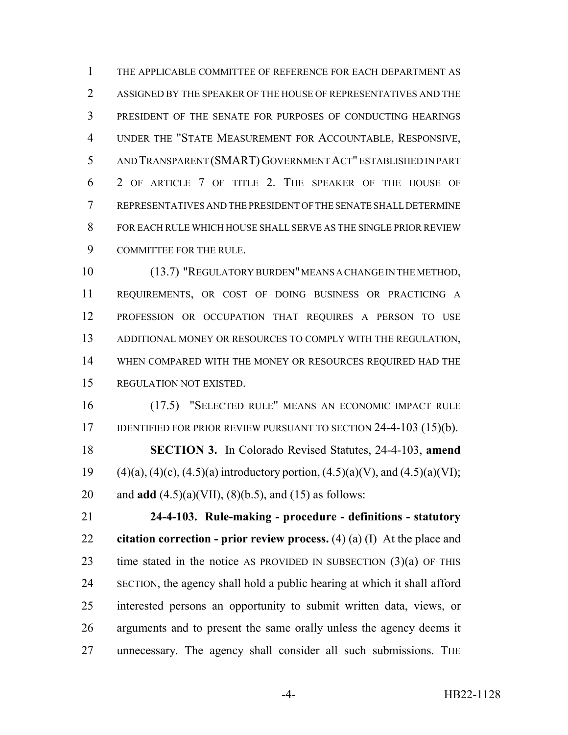THE APPLICABLE COMMITTEE OF REFERENCE FOR EACH DEPARTMENT AS ASSIGNED BY THE SPEAKER OF THE HOUSE OF REPRESENTATIVES AND THE PRESIDENT OF THE SENATE FOR PURPOSES OF CONDUCTING HEARINGS UNDER THE "STATE MEASUREMENT FOR ACCOUNTABLE, RESPONSIVE, AND TRANSPARENT (SMART)GOVERNMENT ACT" ESTABLISHED IN PART 2 OF ARTICLE 7 OF TITLE 2. THE SPEAKER OF THE HOUSE OF REPRESENTATIVES AND THE PRESIDENT OF THE SENATE SHALL DETERMINE FOR EACH RULE WHICH HOUSE SHALL SERVE AS THE SINGLE PRIOR REVIEW COMMITTEE FOR THE RULE.

 (13.7) "REGULATORY BURDEN" MEANS A CHANGE IN THE METHOD, REQUIREMENTS, OR COST OF DOING BUSINESS OR PRACTICING A PROFESSION OR OCCUPATION THAT REQUIRES A PERSON TO USE ADDITIONAL MONEY OR RESOURCES TO COMPLY WITH THE REGULATION, WHEN COMPARED WITH THE MONEY OR RESOURCES REQUIRED HAD THE REGULATION NOT EXISTED.

 (17.5) "SELECTED RULE" MEANS AN ECONOMIC IMPACT RULE 17 IDENTIFIED FOR PRIOR REVIEW PURSUANT TO SECTION 24-4-103 (15)(b). **SECTION 3.** In Colorado Revised Statutes, 24-4-103, **amend** 19 (4)(a), (4)(c), (4.5)(a) introductory portion, (4.5)(a)(V), and (4.5)(a)(VI); and **add** (4.5)(a)(VII), (8)(b.5), and (15) as follows:

 **24-4-103. Rule-making - procedure - definitions - statutory citation correction - prior review process.** (4) (a) (I) At the place and 23 time stated in the notice AS PROVIDED IN SUBSECTION  $(3)(a)$  OF THIS SECTION, the agency shall hold a public hearing at which it shall afford interested persons an opportunity to submit written data, views, or arguments and to present the same orally unless the agency deems it unnecessary. The agency shall consider all such submissions. THE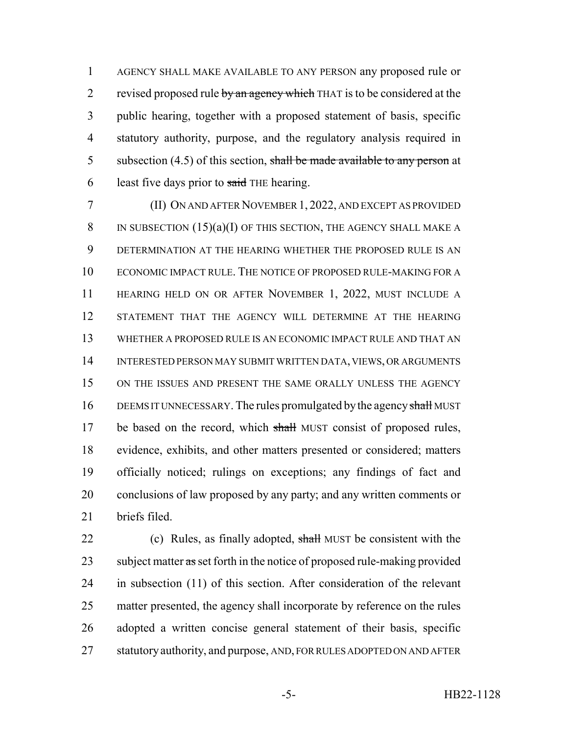AGENCY SHALL MAKE AVAILABLE TO ANY PERSON any proposed rule or 2 revised proposed rule by an agency which THAT is to be considered at the public hearing, together with a proposed statement of basis, specific statutory authority, purpose, and the regulatory analysis required in 5 subsection  $(4.5)$  of this section, shall be made available to any person at 6 least five days prior to  $s$ aid THE hearing.

 (II) ON AND AFTER NOVEMBER 1, 2022, AND EXCEPT AS PROVIDED 8 IN SUBSECTION  $(15)(a)(I)$  OF THIS SECTION, THE AGENCY SHALL MAKE A DETERMINATION AT THE HEARING WHETHER THE PROPOSED RULE IS AN ECONOMIC IMPACT RULE. THE NOTICE OF PROPOSED RULE-MAKING FOR A HEARING HELD ON OR AFTER NOVEMBER 1, 2022, MUST INCLUDE A STATEMENT THAT THE AGENCY WILL DETERMINE AT THE HEARING WHETHER A PROPOSED RULE IS AN ECONOMIC IMPACT RULE AND THAT AN INTERESTED PERSON MAY SUBMIT WRITTEN DATA, VIEWS, OR ARGUMENTS 15 ON THE ISSUES AND PRESENT THE SAME ORALLY UNLESS THE AGENCY 16 DEEMS IT UNNECESSARY. The rules promulgated by the agency shall MUST 17 be based on the record, which shall MUST consist of proposed rules, evidence, exhibits, and other matters presented or considered; matters officially noticed; rulings on exceptions; any findings of fact and conclusions of law proposed by any party; and any written comments or briefs filed.

22 (c) Rules, as finally adopted, shall MUST be consistent with the 23 subject matter as set forth in the notice of proposed rule-making provided in subsection (11) of this section. After consideration of the relevant matter presented, the agency shall incorporate by reference on the rules adopted a written concise general statement of their basis, specific statutory authority, and purpose, AND, FOR RULES ADOPTED ON AND AFTER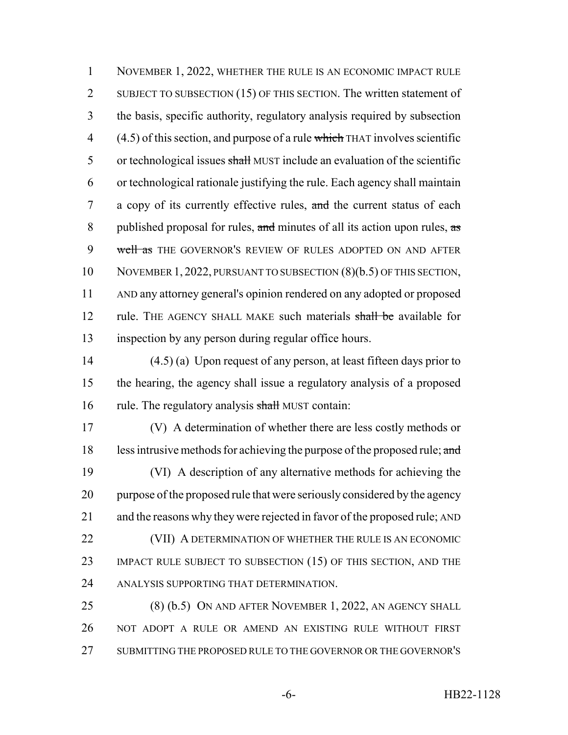1 NOVEMBER 1, 2022, WHETHER THE RULE IS AN ECONOMIC IMPACT RULE 2 SUBJECT TO SUBSECTION (15) OF THIS SECTION. The written statement of 3 the basis, specific authority, regulatory analysis required by subsection  $4$  (4.5) of this section, and purpose of a rule which THAT involves scientific 5 or technological issues shall MUST include an evaluation of the scientific 6 or technological rationale justifying the rule. Each agency shall maintain 7 a copy of its currently effective rules, and the current status of each 8 published proposal for rules, and minutes of all its action upon rules,  $\frac{1}{x}$ 9 well as THE GOVERNOR'S REVIEW OF RULES ADOPTED ON AND AFTER 10 NOVEMBER 1, 2022, PURSUANT TO SUBSECTION (8)(b.5) OF THIS SECTION, 11 AND any attorney general's opinion rendered on any adopted or proposed 12 rule. THE AGENCY SHALL MAKE such materials shall be available for 13 inspection by any person during regular office hours.

14 (4.5) (a) Upon request of any person, at least fifteen days prior to 15 the hearing, the agency shall issue a regulatory analysis of a proposed 16 rule. The regulatory analysis shall MUST contain:

 (V) A determination of whether there are less costly methods or 18 less intrusive methods for achieving the purpose of the proposed rule; and (VI) A description of any alternative methods for achieving the purpose of the proposed rule that were seriously considered by the agency and the reasons why they were rejected in favor of the proposed rule; AND 22 (VII) A DETERMINATION OF WHETHER THE RULE IS AN ECONOMIC 23 IMPACT RULE SUBJECT TO SUBSECTION (15) OF THIS SECTION, AND THE ANALYSIS SUPPORTING THAT DETERMINATION.

25 (8) (b.5) ON AND AFTER NOVEMBER 1, 2022, AN AGENCY SHALL 26 NOT ADOPT A RULE OR AMEND AN EXISTING RULE WITHOUT FIRST 27 SUBMITTING THE PROPOSED RULE TO THE GOVERNOR OR THE GOVERNOR'S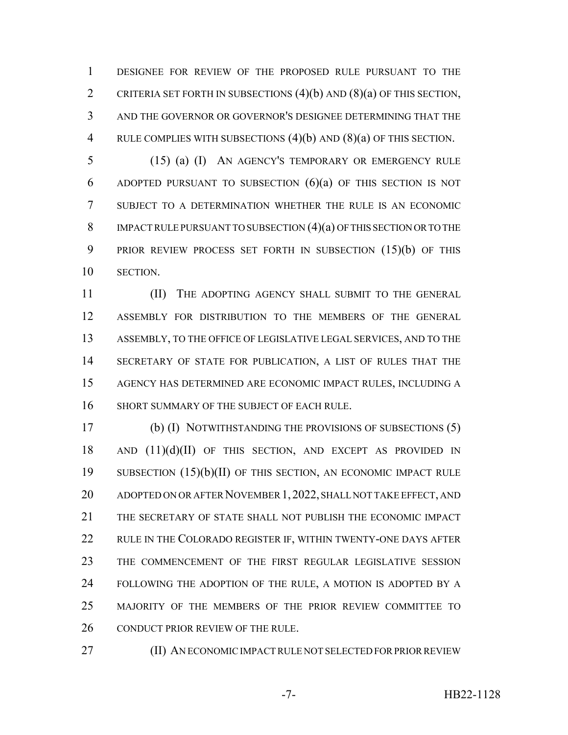DESIGNEE FOR REVIEW OF THE PROPOSED RULE PURSUANT TO THE 2 CRITERIA SET FORTH IN SUBSECTIONS  $(4)(b)$  and  $(8)(a)$  of this section, AND THE GOVERNOR OR GOVERNOR'S DESIGNEE DETERMINING THAT THE RULE COMPLIES WITH SUBSECTIONS (4)(b) AND (8)(a) OF THIS SECTION.

 (15) (a) (I) AN AGENCY'S TEMPORARY OR EMERGENCY RULE 6 ADOPTED PURSUANT TO SUBSECTION  $(6)(a)$  of this section is not SUBJECT TO A DETERMINATION WHETHER THE RULE IS AN ECONOMIC 8 IMPACT RULE PURSUANT TO SUBSECTION (4)(a) OF THIS SECTION OR TO THE PRIOR REVIEW PROCESS SET FORTH IN SUBSECTION (15)(b) OF THIS SECTION.

 (II) THE ADOPTING AGENCY SHALL SUBMIT TO THE GENERAL ASSEMBLY FOR DISTRIBUTION TO THE MEMBERS OF THE GENERAL ASSEMBLY, TO THE OFFICE OF LEGISLATIVE LEGAL SERVICES, AND TO THE SECRETARY OF STATE FOR PUBLICATION, A LIST OF RULES THAT THE AGENCY HAS DETERMINED ARE ECONOMIC IMPACT RULES, INCLUDING A 16 SHORT SUMMARY OF THE SUBJECT OF EACH RULE.

 (b) (I) NOTWITHSTANDING THE PROVISIONS OF SUBSECTIONS (5) 18 AND  $(11)(d)(II)$  OF THIS SECTION, AND EXCEPT AS PROVIDED IN SUBSECTION (15)(b)(II) OF THIS SECTION, AN ECONOMIC IMPACT RULE ADOPTED ON OR AFTER NOVEMBER 1,2022, SHALL NOT TAKE EFFECT, AND THE SECRETARY OF STATE SHALL NOT PUBLISH THE ECONOMIC IMPACT RULE IN THE COLORADO REGISTER IF, WITHIN TWENTY-ONE DAYS AFTER THE COMMENCEMENT OF THE FIRST REGULAR LEGISLATIVE SESSION FOLLOWING THE ADOPTION OF THE RULE, A MOTION IS ADOPTED BY A MAJORITY OF THE MEMBERS OF THE PRIOR REVIEW COMMITTEE TO 26 CONDUCT PRIOR REVIEW OF THE RULE.

**(II) AN ECONOMIC IMPACT RULE NOT SELECTED FOR PRIOR REVIEW**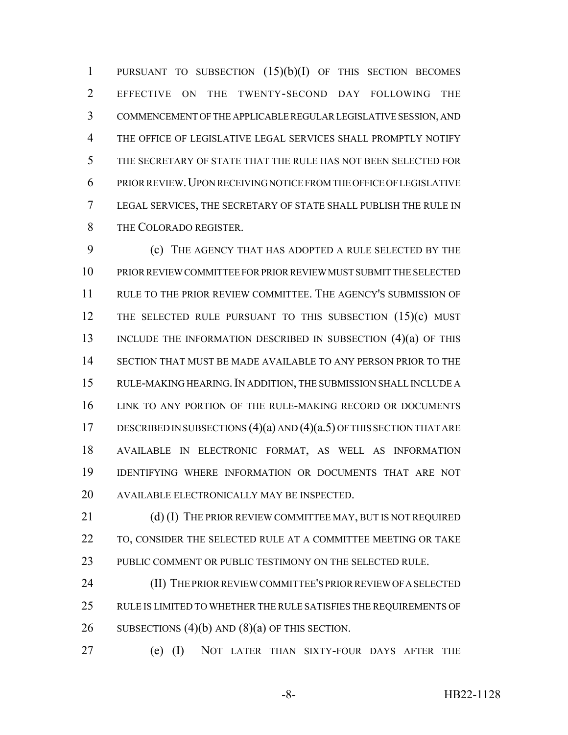PURSUANT TO SUBSECTION (15)(b)(I) OF THIS SECTION BECOMES EFFECTIVE ON THE TWENTY-SECOND DAY FOLLOWING THE COMMENCEMENT OF THE APPLICABLE REGULAR LEGISLATIVE SESSION, AND THE OFFICE OF LEGISLATIVE LEGAL SERVICES SHALL PROMPTLY NOTIFY THE SECRETARY OF STATE THAT THE RULE HAS NOT BEEN SELECTED FOR PRIOR REVIEW.UPON RECEIVING NOTICE FROM THE OFFICE OF LEGISLATIVE LEGAL SERVICES, THE SECRETARY OF STATE SHALL PUBLISH THE RULE IN THE COLORADO REGISTER.

 (c) THE AGENCY THAT HAS ADOPTED A RULE SELECTED BY THE PRIOR REVIEW COMMITTEE FOR PRIOR REVIEW MUST SUBMIT THE SELECTED RULE TO THE PRIOR REVIEW COMMITTEE. THE AGENCY'S SUBMISSION OF 12 THE SELECTED RULE PURSUANT TO THIS SUBSECTION (15)(c) MUST 13 INCLUDE THE INFORMATION DESCRIBED IN SUBSECTION (4)(a) OF THIS SECTION THAT MUST BE MADE AVAILABLE TO ANY PERSON PRIOR TO THE RULE-MAKING HEARING.IN ADDITION, THE SUBMISSION SHALL INCLUDE A LINK TO ANY PORTION OF THE RULE-MAKING RECORD OR DOCUMENTS 17 DESCRIBED IN SUBSECTIONS  $(4)(a)$  AND  $(4)(a.5)$  OF THIS SECTION THAT ARE AVAILABLE IN ELECTRONIC FORMAT, AS WELL AS INFORMATION IDENTIFYING WHERE INFORMATION OR DOCUMENTS THAT ARE NOT AVAILABLE ELECTRONICALLY MAY BE INSPECTED.

21 (d) (I) THE PRIOR REVIEW COMMITTEE MAY, BUT IS NOT REQUIRED 22 TO, CONSIDER THE SELECTED RULE AT A COMMITTEE MEETING OR TAKE PUBLIC COMMENT OR PUBLIC TESTIMONY ON THE SELECTED RULE.

 (II) THE PRIOR REVIEW COMMITTEE'S PRIOR REVIEW OF A SELECTED 25 RULE IS LIMITED TO WHETHER THE RULE SATISFIES THE REQUIREMENTS OF 26 SUBSECTIONS  $(4)(b)$  AND  $(8)(a)$  OF THIS SECTION.

(e) (I) NOT LATER THAN SIXTY-FOUR DAYS AFTER THE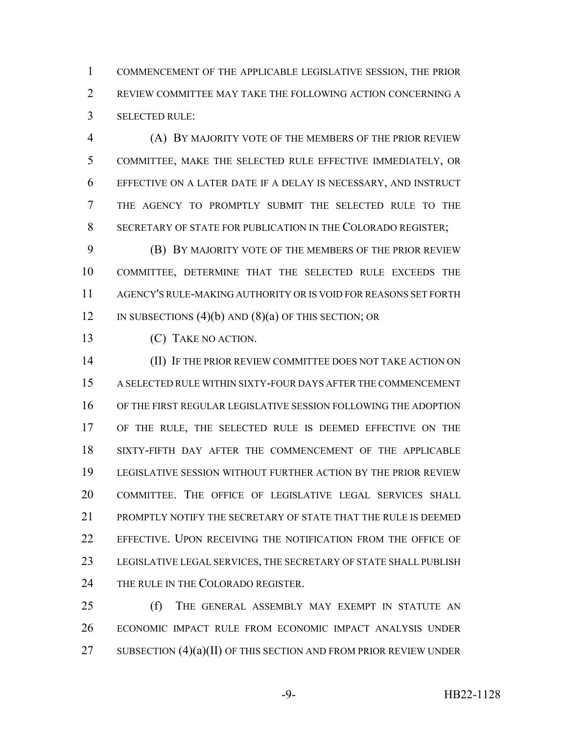COMMENCEMENT OF THE APPLICABLE LEGISLATIVE SESSION, THE PRIOR REVIEW COMMITTEE MAY TAKE THE FOLLOWING ACTION CONCERNING A SELECTED RULE:

 (A) BY MAJORITY VOTE OF THE MEMBERS OF THE PRIOR REVIEW COMMITTEE, MAKE THE SELECTED RULE EFFECTIVE IMMEDIATELY, OR EFFECTIVE ON A LATER DATE IF A DELAY IS NECESSARY, AND INSTRUCT THE AGENCY TO PROMPTLY SUBMIT THE SELECTED RULE TO THE SECRETARY OF STATE FOR PUBLICATION IN THE COLORADO REGISTER;

 (B) BY MAJORITY VOTE OF THE MEMBERS OF THE PRIOR REVIEW COMMITTEE, DETERMINE THAT THE SELECTED RULE EXCEEDS THE AGENCY'S RULE-MAKING AUTHORITY OR IS VOID FOR REASONS SET FORTH 12 IN SUBSECTIONS  $(4)(b)$  AND  $(8)(a)$  OF THIS SECTION; OR

(C) TAKE NO ACTION.

 (II) IF THE PRIOR REVIEW COMMITTEE DOES NOT TAKE ACTION ON A SELECTED RULE WITHIN SIXTY-FOUR DAYS AFTER THE COMMENCEMENT OF THE FIRST REGULAR LEGISLATIVE SESSION FOLLOWING THE ADOPTION OF THE RULE, THE SELECTED RULE IS DEEMED EFFECTIVE ON THE SIXTY-FIFTH DAY AFTER THE COMMENCEMENT OF THE APPLICABLE LEGISLATIVE SESSION WITHOUT FURTHER ACTION BY THE PRIOR REVIEW COMMITTEE. THE OFFICE OF LEGISLATIVE LEGAL SERVICES SHALL PROMPTLY NOTIFY THE SECRETARY OF STATE THAT THE RULE IS DEEMED EFFECTIVE. UPON RECEIVING THE NOTIFICATION FROM THE OFFICE OF LEGISLATIVE LEGAL SERVICES, THE SECRETARY OF STATE SHALL PUBLISH 24 THE RULE IN THE COLORADO REGISTER.

25 (f) THE GENERAL ASSEMBLY MAY EXEMPT IN STATUTE AN ECONOMIC IMPACT RULE FROM ECONOMIC IMPACT ANALYSIS UNDER 27 SUBSECTION  $(4)(a)(II)$  OF THIS SECTION AND FROM PRIOR REVIEW UNDER